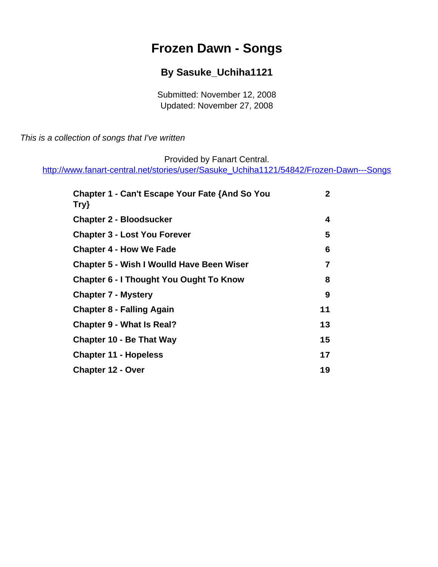# **Frozen Dawn - Songs**

## **By Sasuke\_Uchiha1121**

Submitted: November 12, 2008 Updated: November 27, 2008

<span id="page-0-0"></span>This is a collection of songs that I've written

Provided by Fanart Central.

[http://www.fanart-central.net/stories/user/Sasuke\\_Uchiha1121/54842/Frozen-Dawn---Songs](#page-0-0)

| <b>Chapter 1 - Can't Escape Your Fate {And So You</b><br>Try} | $\mathbf{2}$ |
|---------------------------------------------------------------|--------------|
| <b>Chapter 2 - Bloodsucker</b>                                | 4            |
| <b>Chapter 3 - Lost You Forever</b>                           | 5            |
| <b>Chapter 4 - How We Fade</b>                                | 6            |
| <b>Chapter 5 - Wish I Woulld Have Been Wiser</b>              | 7            |
| <b>Chapter 6 - I Thought You Ought To Know</b>                | 8            |
| <b>Chapter 7 - Mystery</b>                                    | 9            |
| <b>Chapter 8 - Falling Again</b>                              | 11           |
| <b>Chapter 9 - What Is Real?</b>                              | 13           |
| <b>Chapter 10 - Be That Way</b>                               | 15           |
| <b>Chapter 11 - Hopeless</b>                                  | 17           |
| <b>Chapter 12 - Over</b>                                      | 19           |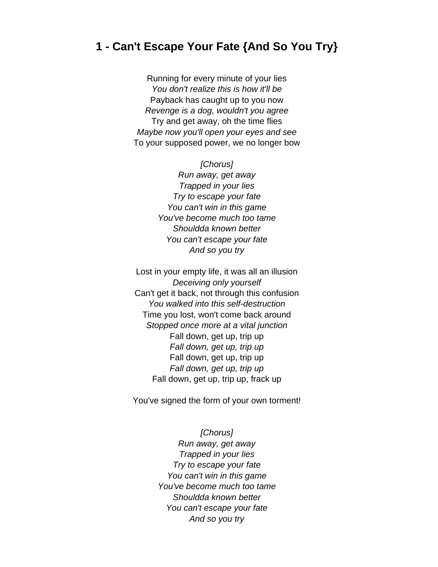### <span id="page-1-0"></span>**1 - Can't Escape Your Fate {And So You Try}**

Running for every minute of your lies You don't realize this is how it'll be Payback has caught up to you now Revenge is a dog, wouldn't you agree Try and get away, oh the time flies Maybe now you'll open your eyes and see To your supposed power, we no longer bow

> [Chorus] Run away, get away Trapped in your lies Try to escape your fate You can't win in this game You've become much too tame Shouldda known better You can't escape your fate And so you try

Lost in your empty life, it was all an illusion Deceiving only yourself Can't get it back, not through this confusion You walked into this self-destruction Time you lost, won't come back around Stopped once more at a vital junction Fall down, get up, trip up Fall down, get up, trip up Fall down, get up, trip up Fall down, get up, trip up Fall down, get up, trip up, frack up

You've signed the form of your own torment!

[Chorus] Run away, get away Trapped in your lies Try to escape your fate You can't win in this game You've become much too tame Shouldda known better You can't escape your fate And so you try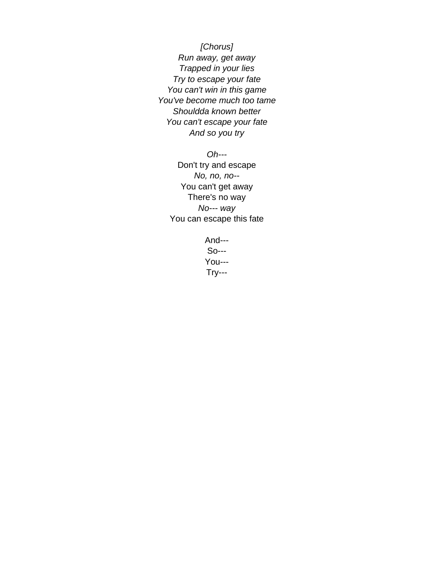[Chorus] Run away, get away Trapped in your lies Try to escape your fate You can't win in this game You've become much too tame Shouldda known better You can't escape your fate And so you try

Oh--- Don't try and escape No, no, no-- You can't get away There's no way No--- way You can escape this fate

> And--- So--- You--- Try---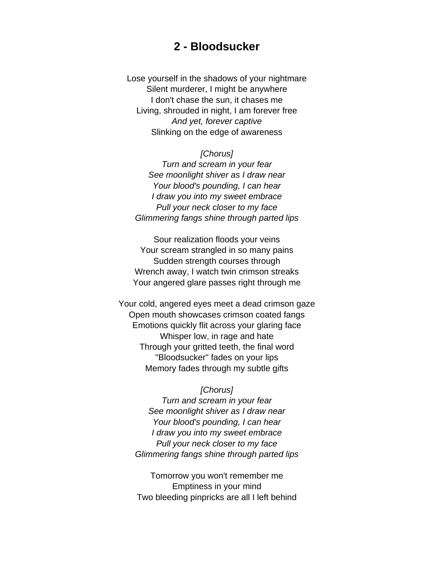### **2 - Bloodsucker**

<span id="page-3-0"></span>Lose yourself in the shadows of your nightmare Silent murderer, I might be anywhere I don't chase the sun, it chases me Living, shrouded in night, I am forever free And yet, forever captive Slinking on the edge of awareness

#### [Chorus]

Turn and scream in your fear See moonlight shiver as I draw near Your blood's pounding, I can hear I draw you into my sweet embrace Pull your neck closer to my face Glimmering fangs shine through parted lips

Sour realization floods your veins Your scream strangled in so many pains Sudden strength courses through Wrench away, I watch twin crimson streaks Your angered glare passes right through me

Your cold, angered eyes meet a dead crimson gaze Open mouth showcases crimson coated fangs Emotions quickly flit across your glaring face Whisper low, in rage and hate Through your gritted teeth, the final word "Bloodsucker" fades on your lips Memory fades through my subtle gifts

#### [Chorus]

Turn and scream in your fear See moonlight shiver as I draw near Your blood's pounding, I can hear I draw you into my sweet embrace Pull your neck closer to my face Glimmering fangs shine through parted lips

Tomorrow you won't remember me Emptiness in your mind Two bleeding pinpricks are all I left behind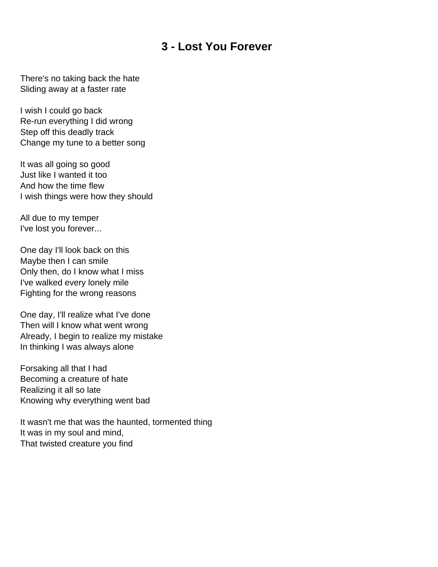### **3 - Lost You Forever**

<span id="page-4-0"></span>There's no taking back the hate Sliding away at a faster rate

I wish I could go back Re-run everything I did wrong Step off this deadly track Change my tune to a better song

It was all going so good Just like I wanted it too And how the time flew I wish things were how they should

All due to my temper I've lost you forever...

One day I'll look back on this Maybe then I can smile Only then, do I know what I miss I've walked every lonely mile Fighting for the wrong reasons

One day, I'll realize what I've done Then will I know what went wrong Already, I begin to realize my mistake In thinking I was always alone

Forsaking all that I had Becoming a creature of hate Realizing it all so late Knowing why everything went bad

It wasn't me that was the haunted, tormented thing It was in my soul and mind, That twisted creature you find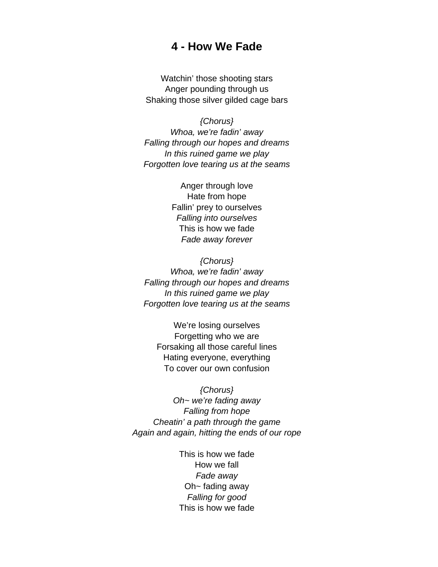#### **4 - How We Fade**

<span id="page-5-0"></span>Watchin' those shooting stars Anger pounding through us Shaking those silver gilded cage bars

{Chorus} Whoa, we're fadin' away Falling through our hopes and dreams In this ruined game we play Forgotten love tearing us at the seams

> Anger through love Hate from hope Fallin' prey to ourselves Falling into ourselves This is how we fade Fade away forever

{Chorus} Whoa, we're fadin' away Falling through our hopes and dreams In this ruined game we play Forgotten love tearing us at the seams

We're losing ourselves Forgetting who we are Forsaking all those careful lines Hating everyone, everything To cover our own confusion

{Chorus} Oh~ we're fading away Falling from hope Cheatin' a path through the game Again and again, hitting the ends of our rope

> This is how we fade How we fall Fade away Oh~ fading away Falling for good This is how we fade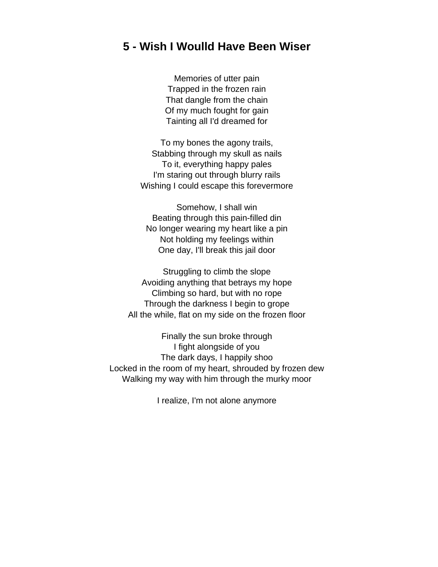### <span id="page-6-0"></span>**5 - Wish I Woulld Have Been Wiser**

Memories of utter pain Trapped in the frozen rain That dangle from the chain Of my much fought for gain Tainting all I'd dreamed for

To my bones the agony trails, Stabbing through my skull as nails To it, everything happy pales I'm staring out through blurry rails Wishing I could escape this forevermore

Somehow, I shall win Beating through this pain-filled din No longer wearing my heart like a pin Not holding my feelings within One day, I'll break this jail door

Struggling to climb the slope Avoiding anything that betrays my hope Climbing so hard, but with no rope Through the darkness I begin to grope All the while, flat on my side on the frozen floor

Finally the sun broke through I fight alongside of you The dark days, I happily shoo Locked in the room of my heart, shrouded by frozen dew Walking my way with him through the murky moor

I realize, I'm not alone anymore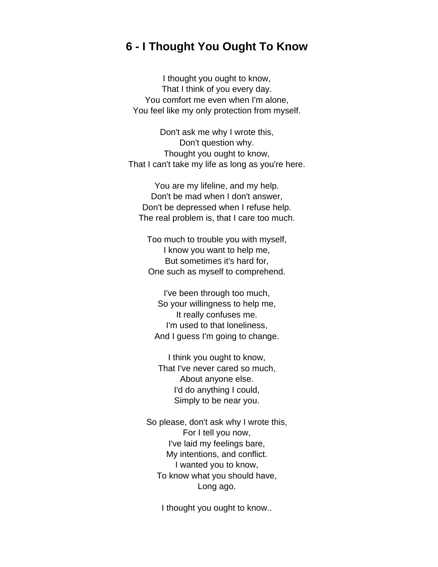### <span id="page-7-0"></span>**6 - I Thought You Ought To Know**

I thought you ought to know, That I think of you every day. You comfort me even when I'm alone, You feel like my only protection from myself.

Don't ask me why I wrote this, Don't question why. Thought you ought to know, That I can't take my life as long as you're here.

You are my lifeline, and my help. Don't be mad when I don't answer, Don't be depressed when I refuse help. The real problem is, that I care too much.

Too much to trouble you with myself, I know you want to help me, But sometimes it's hard for, One such as myself to comprehend.

I've been through too much, So your willingness to help me, It really confuses me. I'm used to that loneliness, And I guess I'm going to change.

I think you ought to know, That I've never cared so much, About anyone else. I'd do anything I could, Simply to be near you.

So please, don't ask why I wrote this, For I tell you now, I've laid my feelings bare, My intentions, and conflict. I wanted you to know, To know what you should have, Long ago.

I thought you ought to know..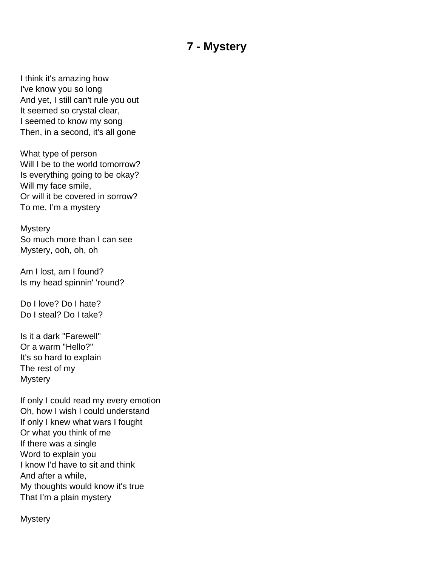## **7 - Mystery**

<span id="page-8-0"></span>I think it's amazing how I've know you so long And yet, I still can't rule you out It seemed so crystal clear, I seemed to know my song Then, in a second, it's all gone

What type of person Will I be to the world tomorrow? Is everything going to be okay? Will my face smile, Or will it be covered in sorrow? To me, I'm a mystery

**Mystery** So much more than I can see Mystery, ooh, oh, oh

Am I lost, am I found? Is my head spinnin' 'round?

Do I love? Do I hate? Do I steal? Do I take?

Is it a dark "Farewell" Or a warm "Hello?" It's so hard to explain The rest of my **Mystery** 

If only I could read my every emotion Oh, how I wish I could understand If only I knew what wars I fought Or what you think of me If there was a single Word to explain you I know I'd have to sit and think And after a while, My thoughts would know it's true That I'm a plain mystery

**Mystery**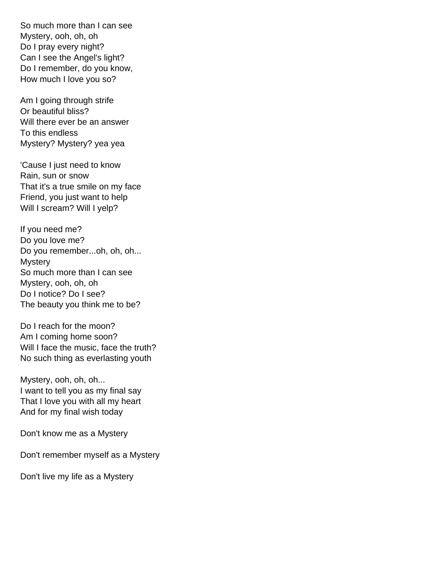So much more than I can see Mystery, ooh, oh, oh Do I pray every night? Can I see the Angel's light? Do I remember, do you know, How much I love you so?

Am I going through strife Or beautiful bliss? Will there ever be an answer To this endless Mystery? Mystery? yea yea

'Cause I just need to know Rain, sun or snow That it's a true smile on my face Friend, you just want to help Will I scream? Will I yelp?

If you need me? Do you love me? Do you remember...oh, oh, oh... **Mystery** So much more than I can see Mystery, ooh, oh, oh Do I notice? Do I see? The beauty you think me to be?

Do I reach for the moon? Am I coming home soon? Will I face the music, face the truth? No such thing as everlasting youth

Mystery, ooh, oh, oh... I want to tell you as my final say That I love you with all my heart And for my final wish today

Don't know me as a Mystery

Don't remember myself as a Mystery

Don't live my life as a Mystery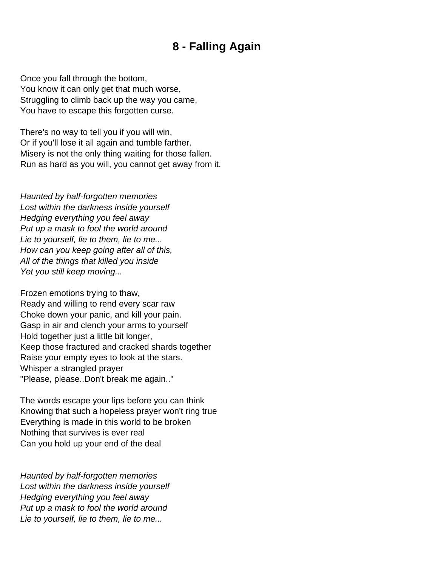## **8 - Falling Again**

<span id="page-10-0"></span>Once you fall through the bottom, You know it can only get that much worse, Struggling to climb back up the way you came, You have to escape this forgotten curse.

There's no way to tell you if you will win, Or if you'll lose it all again and tumble farther. Misery is not the only thing waiting for those fallen. Run as hard as you will, you cannot get away from it.

Haunted by half-forgotten memories Lost within the darkness inside yourself Hedging everything you feel away Put up a mask to fool the world around Lie to yourself, lie to them, lie to me... How can you keep going after all of this, All of the things that killed you inside Yet you still keep moving...

Frozen emotions trying to thaw, Ready and willing to rend every scar raw Choke down your panic, and kill your pain. Gasp in air and clench your arms to yourself Hold together just a little bit longer, Keep those fractured and cracked shards together Raise your empty eyes to look at the stars. Whisper a strangled prayer "Please, please..Don't break me again.."

The words escape your lips before you can think Knowing that such a hopeless prayer won't ring true Everything is made in this world to be broken Nothing that survives is ever real Can you hold up your end of the deal

Haunted by half-forgotten memories Lost within the darkness inside yourself Hedging everything you feel away Put up a mask to fool the world around Lie to yourself, lie to them, lie to me...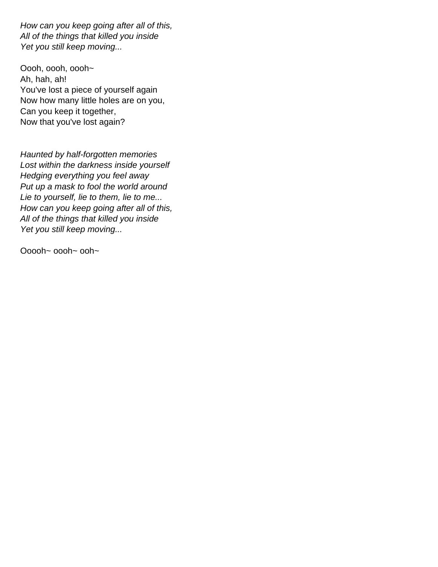How can you keep going after all of this, All of the things that killed you inside Yet you still keep moving...

Oooh, oooh, oooh~ Ah, hah, ah! You've lost a piece of yourself again Now how many little holes are on you, Can you keep it together, Now that you've lost again?

Haunted by half-forgotten memories Lost within the darkness inside yourself Hedging everything you feel away Put up a mask to fool the world around Lie to yourself, lie to them, lie to me... How can you keep going after all of this, All of the things that killed you inside Yet you still keep moving...

Ooooh~ oooh~ ooh~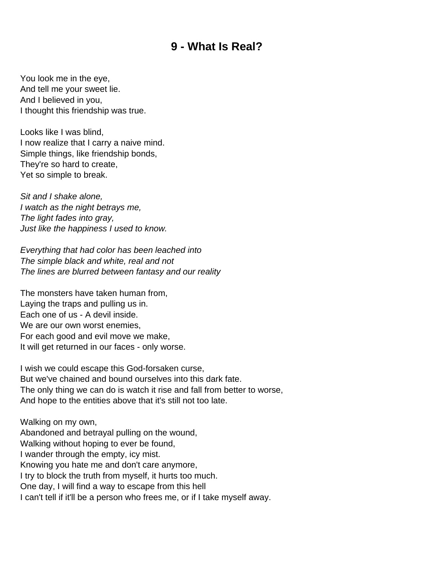## **9 - What Is Real?**

<span id="page-12-0"></span>You look me in the eye, And tell me your sweet lie. And I believed in you, I thought this friendship was true.

Looks like I was blind, I now realize that I carry a naive mind. Simple things, like friendship bonds, They're so hard to create, Yet so simple to break.

Sit and I shake alone, I watch as the night betrays me, The light fades into gray, Just like the happiness I used to know.

Everything that had color has been leached into The simple black and white, real and not The lines are blurred between fantasy and our reality

The monsters have taken human from, Laying the traps and pulling us in. Each one of us - A devil inside. We are our own worst enemies, For each good and evil move we make, It will get returned in our faces - only worse.

I wish we could escape this God-forsaken curse, But we've chained and bound ourselves into this dark fate. The only thing we can do is watch it rise and fall from better to worse, And hope to the entities above that it's still not too late.

Walking on my own, Abandoned and betrayal pulling on the wound, Walking without hoping to ever be found, I wander through the empty, icy mist. Knowing you hate me and don't care anymore, I try to block the truth from myself, it hurts too much. One day, I will find a way to escape from this hell I can't tell if it'll be a person who frees me, or if I take myself away.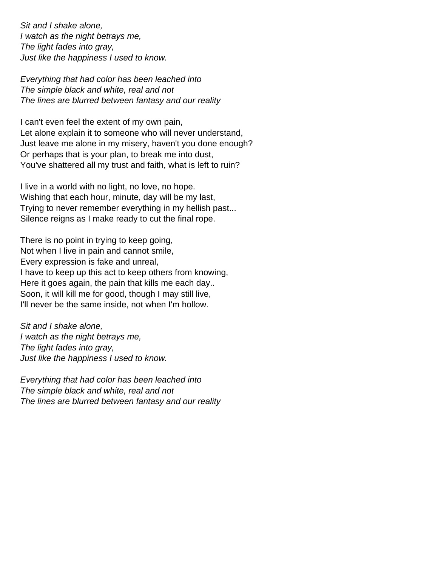Sit and I shake alone, I watch as the night betrays me, The light fades into gray, Just like the happiness I used to know.

Everything that had color has been leached into The simple black and white, real and not The lines are blurred between fantasy and our reality

I can't even feel the extent of my own pain, Let alone explain it to someone who will never understand, Just leave me alone in my misery, haven't you done enough? Or perhaps that is your plan, to break me into dust, You've shattered all my trust and faith, what is left to ruin?

I live in a world with no light, no love, no hope. Wishing that each hour, minute, day will be my last, Trying to never remember everything in my hellish past... Silence reigns as I make ready to cut the final rope.

There is no point in trying to keep going, Not when I live in pain and cannot smile, Every expression is fake and unreal, I have to keep up this act to keep others from knowing, Here it goes again, the pain that kills me each day.. Soon, it will kill me for good, though I may still live, I'll never be the same inside, not when I'm hollow.

Sit and I shake alone, I watch as the night betrays me, The light fades into gray, Just like the happiness I used to know.

Everything that had color has been leached into The simple black and white, real and not The lines are blurred between fantasy and our reality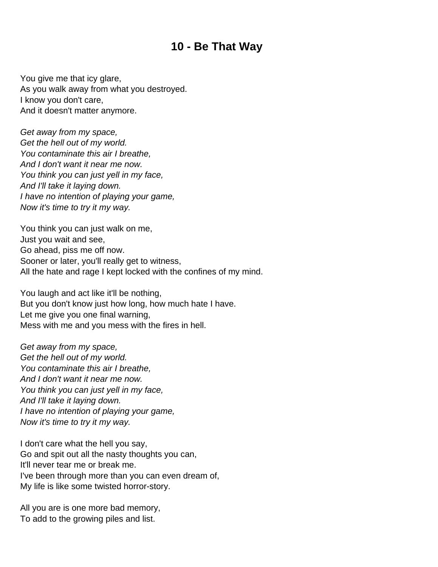## **10 - Be That Way**

<span id="page-14-0"></span>You give me that icy glare, As you walk away from what you destroyed. I know you don't care, And it doesn't matter anymore.

Get away from my space, Get the hell out of my world. You contaminate this air I breathe, And I don't want it near me now. You think you can just yell in my face, And I'll take it laying down. I have no intention of playing your game, Now it's time to try it my way.

You think you can just walk on me, Just you wait and see, Go ahead, piss me off now. Sooner or later, you'll really get to witness, All the hate and rage I kept locked with the confines of my mind.

You laugh and act like it'll be nothing, But you don't know just how long, how much hate I have. Let me give you one final warning, Mess with me and you mess with the fires in hell.

Get away from my space, Get the hell out of my world. You contaminate this air I breathe, And I don't want it near me now. You think you can just yell in my face, And I'll take it laying down. I have no intention of playing your game, Now it's time to try it my way.

I don't care what the hell you say, Go and spit out all the nasty thoughts you can, It'll never tear me or break me. I've been through more than you can even dream of, My life is like some twisted horror-story.

All you are is one more bad memory, To add to the growing piles and list.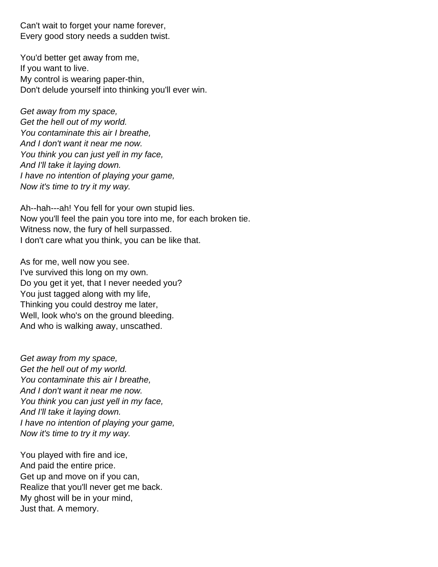Can't wait to forget your name forever, Every good story needs a sudden twist.

You'd better get away from me, If you want to live. My control is wearing paper-thin, Don't delude yourself into thinking you'll ever win.

Get away from my space, Get the hell out of my world. You contaminate this air I breathe, And I don't want it near me now. You think you can just yell in my face, And I'll take it laying down. I have no intention of playing your game, Now it's time to try it my way.

Ah--hah---ah! You fell for your own stupid lies. Now you'll feel the pain you tore into me, for each broken tie. Witness now, the fury of hell surpassed. I don't care what you think, you can be like that.

As for me, well now you see. I've survived this long on my own. Do you get it yet, that I never needed you? You just tagged along with my life, Thinking you could destroy me later, Well, look who's on the ground bleeding. And who is walking away, unscathed.

Get away from my space, Get the hell out of my world. You contaminate this air I breathe, And I don't want it near me now. You think you can just yell in my face, And I'll take it laying down. I have no intention of playing your game, Now it's time to try it my way.

You played with fire and ice, And paid the entire price. Get up and move on if you can, Realize that you'll never get me back. My ghost will be in your mind, Just that. A memory.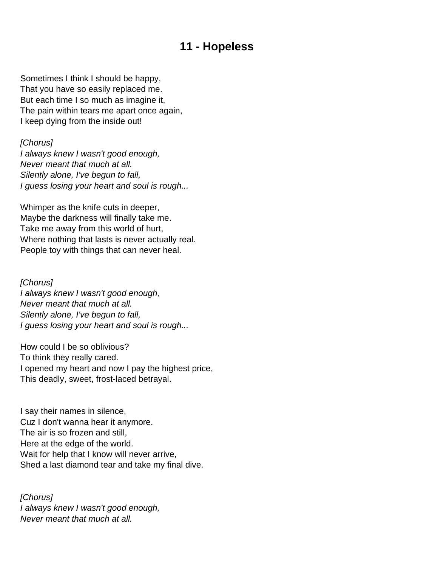### **11 - Hopeless**

<span id="page-16-0"></span>Sometimes I think I should be happy, That you have so easily replaced me. But each time I so much as imagine it, The pain within tears me apart once again, I keep dying from the inside out!

[Chorus]

I always knew I wasn't good enough, Never meant that much at all. Silently alone, I've begun to fall, I guess losing your heart and soul is rough...

Whimper as the knife cuts in deeper, Maybe the darkness will finally take me. Take me away from this world of hurt, Where nothing that lasts is never actually real. People toy with things that can never heal.

[Chorus] I always knew I wasn't good enough, Never meant that much at all. Silently alone, I've begun to fall, I guess losing your heart and soul is rough...

How could I be so oblivious? To think they really cared. I opened my heart and now I pay the highest price, This deadly, sweet, frost-laced betrayal.

I say their names in silence, Cuz I don't wanna hear it anymore. The air is so frozen and still, Here at the edge of the world. Wait for help that I know will never arrive, Shed a last diamond tear and take my final dive.

[Chorus] I always knew I wasn't good enough, Never meant that much at all.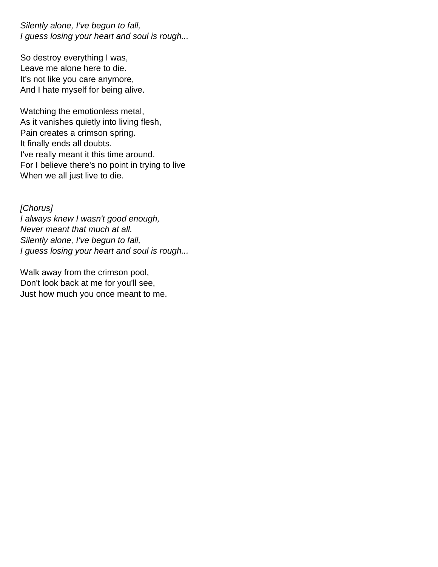Silently alone, I've begun to fall, I guess losing your heart and soul is rough...

So destroy everything I was, Leave me alone here to die. It's not like you care anymore, And I hate myself for being alive.

Watching the emotionless metal, As it vanishes quietly into living flesh, Pain creates a crimson spring. It finally ends all doubts. I've really meant it this time around. For I believe there's no point in trying to live When we all just live to die.

[Chorus] I always knew I wasn't good enough, Never meant that much at all. Silently alone, I've begun to fall, I guess losing your heart and soul is rough...

Walk away from the crimson pool, Don't look back at me for you'll see, Just how much you once meant to me.